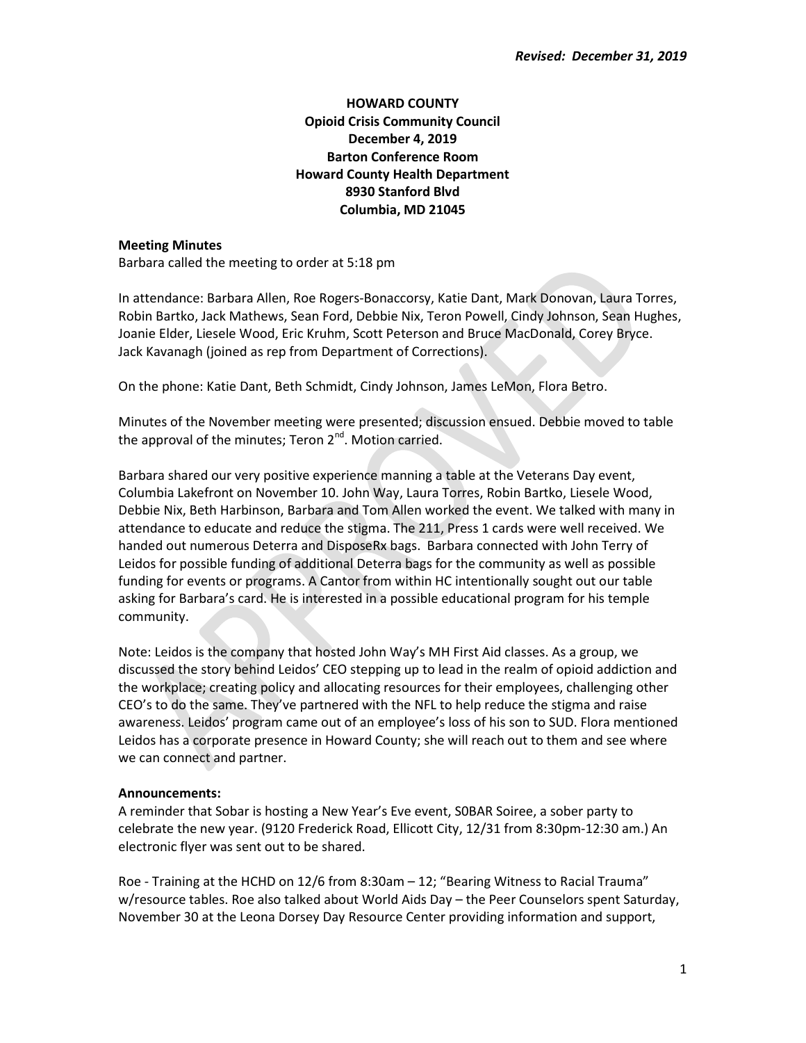## HOWARD COUNTY Opioid Crisis Community Council December 4, 2019 Barton Conference Room Howard County Health Department 8930 Stanford Blvd Columbia, MD 21045

## Meeting Minutes

Barbara called the meeting to order at 5:18 pm

In attendance: Barbara Allen, Roe Rogers-Bonaccorsy, Katie Dant, Mark Donovan, Laura Torres, Robin Bartko, Jack Mathews, Sean Ford, Debbie Nix, Teron Powell, Cindy Johnson, Sean Hughes, Joanie Elder, Liesele Wood, Eric Kruhm, Scott Peterson and Bruce MacDonald, Corey Bryce. Jack Kavanagh (joined as rep from Department of Corrections).

On the phone: Katie Dant, Beth Schmidt, Cindy Johnson, James LeMon, Flora Betro.

Minutes of the November meeting were presented; discussion ensued. Debbie moved to table the approval of the minutes; Teron  $2^{nd}$ . Motion carried.

Barbara shared our very positive experience manning a table at the Veterans Day event, Columbia Lakefront on November 10. John Way, Laura Torres, Robin Bartko, Liesele Wood, Debbie Nix, Beth Harbinson, Barbara and Tom Allen worked the event. We talked with many in attendance to educate and reduce the stigma. The 211, Press 1 cards were well received. We handed out numerous Deterra and DisposeRx bags. Barbara connected with John Terry of Leidos for possible funding of additional Deterra bags for the community as well as possible funding for events or programs. A Cantor from within HC intentionally sought out our table asking for Barbara's card. He is interested in a possible educational program for his temple community.

Note: Leidos is the company that hosted John Way's MH First Aid classes. As a group, we discussed the story behind Leidos' CEO stepping up to lead in the realm of opioid addiction and the workplace; creating policy and allocating resources for their employees, challenging other CEO's to do the same. They've partnered with the NFL to help reduce the stigma and raise awareness. Leidos' program came out of an employee's loss of his son to SUD. Flora mentioned Leidos has a corporate presence in Howard County; she will reach out to them and see where we can connect and partner.

## Announcements:

A reminder that Sobar is hosting a New Year's Eve event, S0BAR Soiree, a sober party to celebrate the new year. (9120 Frederick Road, Ellicott City, 12/31 from 8:30pm-12:30 am.) An electronic flyer was sent out to be shared.

Roe - Training at the HCHD on 12/6 from 8:30am – 12; "Bearing Witness to Racial Trauma" w/resource tables. Roe also talked about World Aids Day – the Peer Counselors spent Saturday, November 30 at the Leona Dorsey Day Resource Center providing information and support,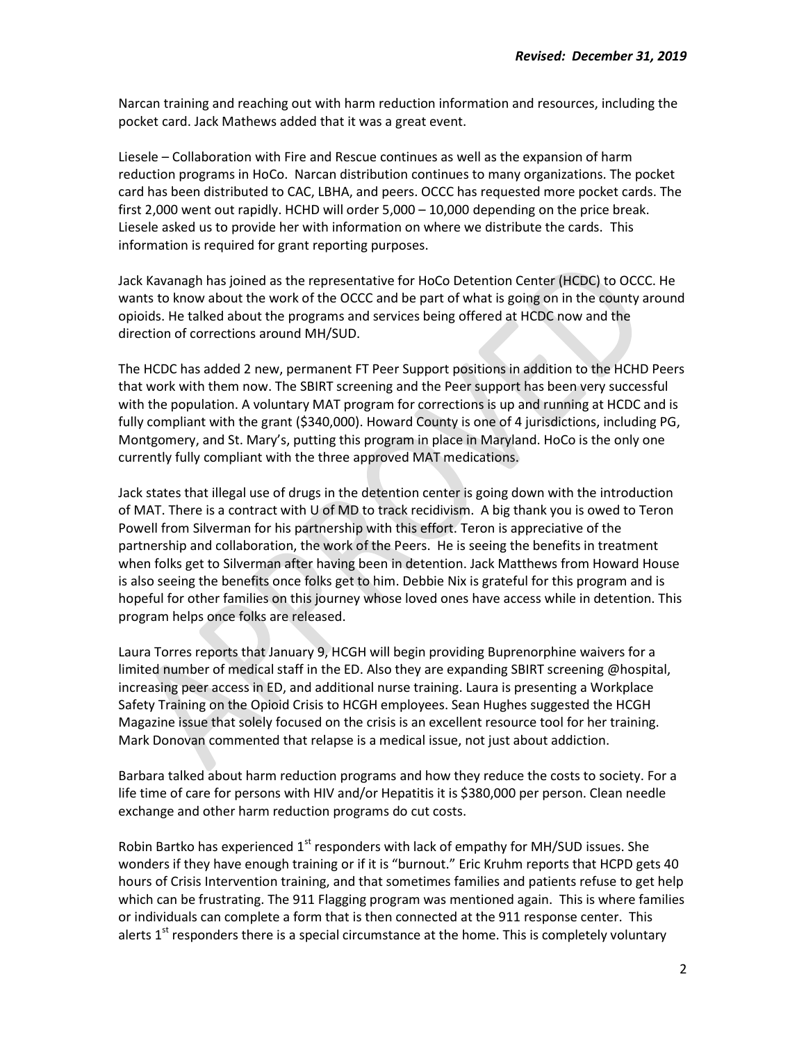Narcan training and reaching out with harm reduction information and resources, including the pocket card. Jack Mathews added that it was a great event.

Liesele – Collaboration with Fire and Rescue continues as well as the expansion of harm reduction programs in HoCo. Narcan distribution continues to many organizations. The pocket card has been distributed to CAC, LBHA, and peers. OCCC has requested more pocket cards. The first 2,000 went out rapidly. HCHD will order 5,000 - 10,000 depending on the price break. Liesele asked us to provide her with information on where we distribute the cards. This information is required for grant reporting purposes.

Jack Kavanagh has joined as the representative for HoCo Detention Center (HCDC) to OCCC. He wants to know about the work of the OCCC and be part of what is going on in the county around opioids. He talked about the programs and services being offered at HCDC now and the direction of corrections around MH/SUD.

The HCDC has added 2 new, permanent FT Peer Support positions in addition to the HCHD Peers that work with them now. The SBIRT screening and the Peer support has been very successful with the population. A voluntary MAT program for corrections is up and running at HCDC and is fully compliant with the grant (\$340,000). Howard County is one of 4 jurisdictions, including PG, Montgomery, and St. Mary's, putting this program in place in Maryland. HoCo is the only one currently fully compliant with the three approved MAT medications.

Jack states that illegal use of drugs in the detention center is going down with the introduction of MAT. There is a contract with U of MD to track recidivism. A big thank you is owed to Teron Powell from Silverman for his partnership with this effort. Teron is appreciative of the partnership and collaboration, the work of the Peers. He is seeing the benefits in treatment when folks get to Silverman after having been in detention. Jack Matthews from Howard House is also seeing the benefits once folks get to him. Debbie Nix is grateful for this program and is hopeful for other families on this journey whose loved ones have access while in detention. This program helps once folks are released.

Laura Torres reports that January 9, HCGH will begin providing Buprenorphine waivers for a limited number of medical staff in the ED. Also they are expanding SBIRT screening @hospital, increasing peer access in ED, and additional nurse training. Laura is presenting a Workplace Safety Training on the Opioid Crisis to HCGH employees. Sean Hughes suggested the HCGH Magazine issue that solely focused on the crisis is an excellent resource tool for her training. Mark Donovan commented that relapse is a medical issue, not just about addiction.

Barbara talked about harm reduction programs and how they reduce the costs to society. For a life time of care for persons with HIV and/or Hepatitis it is \$380,000 per person. Clean needle exchange and other harm reduction programs do cut costs.

Robin Bartko has experienced  $1<sup>st</sup>$  responders with lack of empathy for MH/SUD issues. She wonders if they have enough training or if it is "burnout." Eric Kruhm reports that HCPD gets 40 hours of Crisis Intervention training, and that sometimes families and patients refuse to get help which can be frustrating. The 911 Flagging program was mentioned again. This is where families or individuals can complete a form that is then connected at the 911 response center. This alerts  $1<sup>st</sup>$  responders there is a special circumstance at the home. This is completely voluntary